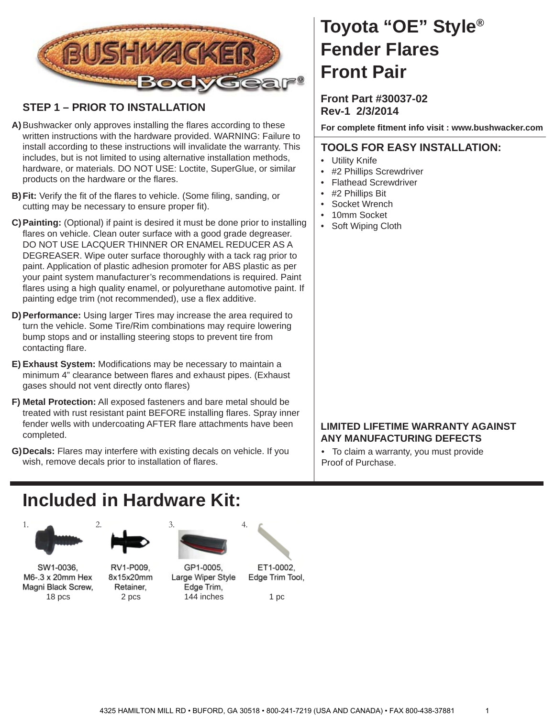

### **STEP 1 – PRIOR TO INSTALLATION**

- A) Bushwacker only approves installing the flares according to these written instructions with the hardware provided. WARNING: Failure to install according to these instructions will invalidate the warranty. This includes, but is not limited to using alternative installation methods, hardware, or materials. DO NOT USE: Loctite, SuperGlue, or similar products on the hardware or the flares.
- **B) Fit:** Verify the fit of the flares to vehicle. (Some filing, sanding, or cutting may be necessary to ensure proper fit).
- **Painting:** (Optional) if paint is desired it must be done prior to installing **C)** flares on vehicle. Clean outer surface with a good grade degreaser. DO NOT USE LACQUER THINNER OR ENAMEL REDUCER AS A DEGREASER. Wipe outer surface thoroughly with a tack rag prior to paint. Application of plastic adhesion promoter for ABS plastic as per your paint system manufacturer's recommendations is required. Paint flares using a high quality enamel, or polyurethane automotive paint. If painting edge trim (not recommended), use a flex additive.
- **Performance:** Using larger Tires may increase the area required to **D)** turn the vehicle. Some Tire/Rim combinations may require lowering bump stops and or installing steering stops to prevent tire from contacting flare.
- E) Exhaust System: Modifications may be necessary to maintain a minimum 4" clearance between flares and exhaust pipes. (Exhaust gases should not vent directly onto flares)
- **Metal Protection:** All exposed fasteners and bare metal should be **F)** treated with rust resistant paint BEFORE installing flares. Spray inner fender wells with undercoating AFTER flare attachments have been completed.
- **Decals:** Flares may interfere with existing decals on vehicle. If you **G)** wish, remove decals prior to installation of flares.

# **Toyota "OE" Style® Fender Flares Front Pair**

### **Front Part #30037-02 Rev-1 2/3/2014**

**For complete fi tment info visit : www.bushwacker.com**

### **TOOLS FOR EASY INSTALLATION:**

- **Utility Knife**
- #2 Phillips Screwdriver
- Flathead Screwdriver
- #2 Phillips Bit
- Socket Wrench
- 10mm Socket
- Soft Wiping Cloth

### **LIMITED LIFETIME WARRANTY AGAINST ANY MANUFACTURING DEFECTS**

• To claim a warranty, you must provide Proof of Purchase.

## **Included in Hardware Kit:**



SW1-0036, M6-.3 x 20mm Hex Magni Black Screw,

RV1-P009. 8x15x20mm Retainer,



GP1-0005, Large Wiper Style Edge Trim, 18 pcs 2 pcs 144 inches



Edge Trim Tool,

1 pc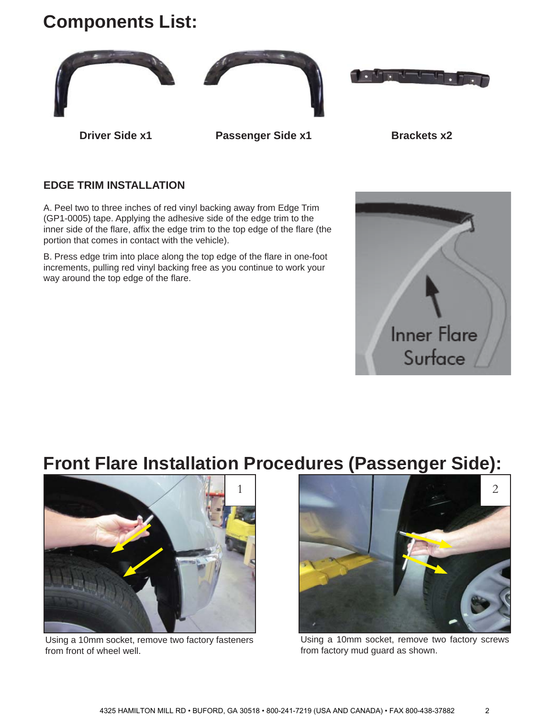# **Components List:**



### **EDGE TRIM INSTALLATION**

A. Peel two to three inches of red vinyl backing away from Edge Trim (GP1-0005) tape. Applying the adhesive side of the edge trim to the inner side of the flare, affix the edge trim to the top edge of the flare (the portion that comes in contact with the vehicle).

B. Press edge trim into place along the top edge of the flare in one-foot increments, pulling red vinyl backing free as you continue to work your way around the top edge of the flare.



### **Front Flare Installation Procedures (Passenger Side):**



Using a 10mm socket, remove two factory fasteners from front of wheel well.



Using a 10mm socket, remove two factory screws from factory mud guard as shown.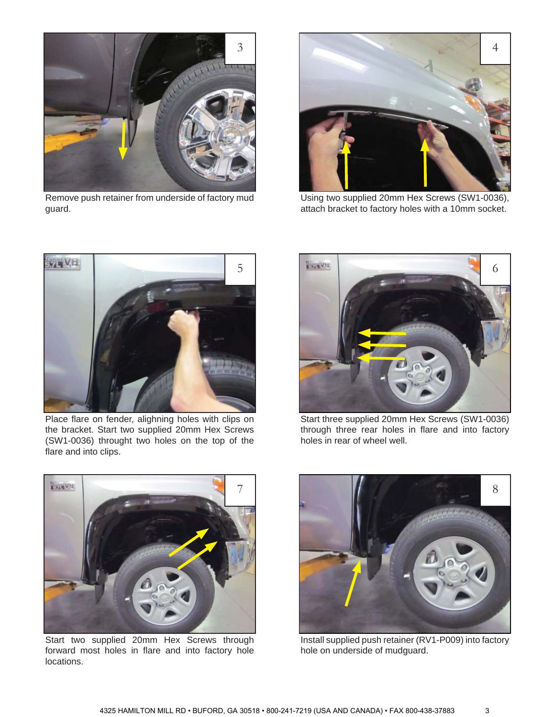

Remove push retainer from underside of factory mud guard.



Using two supplied 20mm Hex Screws (SW1-0036), attach bracket to factory holes with a 10mm socket.



Place flare on fender, alighning holes with clips on the bracket. Start two supplied 20mm Hex Screws (SW1-0036) throught two holes on the top of the flare and into clips.



Start three supplied 20mm Hex Screws (SW1-0036) through three rear holes in flare and into factory holes in rear of wheel well.



Start two supplied 20mm Hex Screws through forward most holes in flare and into factory hole locations.



Install supplied push retainer (RV1-P009) into factory hole on underside of mudguard.